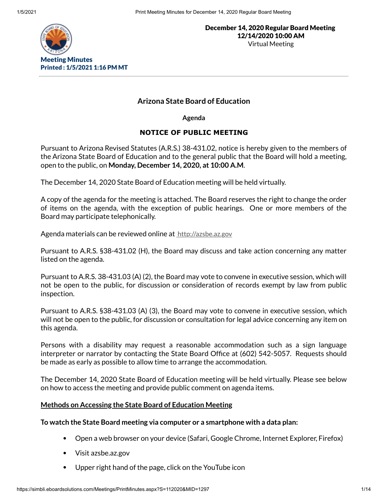

# **Arizona State Board of Education**

**Agenda**

# **NOTICE OF PUBLIC MEETING**

Pursuant to Arizona Revised Statutes (A.R.S.) 38-431.02, notice is hereby given to the members of the Arizona State Board of Education and to the general public that the Board will hold a meeting, open to the public, on **Monday, December 14, 2020, at 10:00 A.M**.

The December 14, 2020 State Board of Education meeting will be held virtually.

A copy of the agenda for the meeting is attached. The Board reserves the right to change the order of items on the agenda, with the exception of public hearings. One or more members of the Board may participate telephonically.

Agenda materials can be reviewed online at [http://azsbe.az.gov](http://azsbe.az.gov/)

Pursuant to A.R.S. §38-431.02 (H), the Board may discuss and take action concerning any matter listed on the agenda.

Pursuant to A.R.S. 38-431.03 (A) (2), the Board may vote to convene in executive session, which will not be open to the public, for discussion or consideration of records exempt by law from public inspection.

Pursuant to A.R.S. §38-431.03 (A) (3), the Board may vote to convene in executive session, which will not be open to the public, for discussion or consultation for legal advice concerning any item on this agenda.

Persons with a disability may request a reasonable accommodation such as a sign language interpreter or narrator by contacting the State Board Office at (602) 542-5057. Requests should be made as early as possible to allow time to arrange the accommodation.

The December 14, 2020 State Board of Education meeting will be held virtually. Please see below on how to access the meeting and provide public comment on agenda items.

## **Methods on Accessing the State Board of Education Meeting**

## **To watch the State Board meeting via computer or a smartphone with a data plan:**

- Open a web browser on your device (Safari, Google Chrome, Internet Explorer, Firefox)
- Visit azsbe.az.gov
- Upper right hand of the page, click on the YouTube icon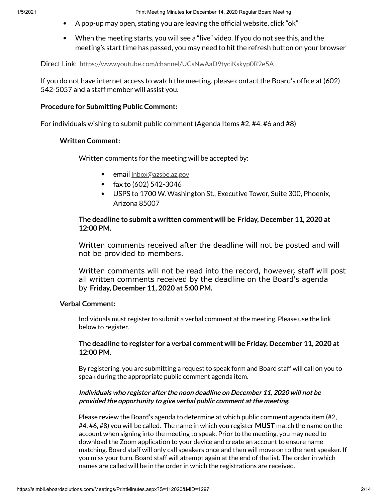1/5/2021 Print Meeting Minutes for December 14, 2020 Regular Board Meeting

- A pop-up may open, stating you are leaving the official website, click "ok"
- When the meeting starts, you will see a "live" video. If you do not see this, and the meeting's start time has passed, you may need to hit the refresh button on your browser

Direct Link: <https://www.youtube.com/channel/UCsNwAaD9tyciKskyp0R2e5A>

If you do not have internet access to watch the meeting, please contact the Board's office at  $(602)$ 542-5057 and a staff member will assist you.

### **Procedure for Submitting Public Comment:**

For individuals wishing to submit public comment (Agenda Items #2, #4, #6 and #8)

## **Written Comment:**

Written comments for the meeting will be accepted by:

- **email** [inbox@azsbe.az.gov](mailto:inbox@azsbe.az.gov)
- fax to (602) 542-3046  $\bullet$
- USPS to 1700 W. Washington St., Executive Tower, Suite 300, Phoenix, Arizona 85007

## **The deadline to submit a written comment will be Friday, December 11, 2020 at 12:00 PM.**

Written comments received after the deadline will not be posted and will not be provided to members.

Written comments will not be read into the record, however, staff will post all written comments received by the deadline on the Board's agenda by **Friday, December 11, 2020 at 5:00 PM.**

### **Verbal Comment:**

Individuals must register to submit a verbal comment at the meeting. Please use the link below to register.

## **The deadline to register for a verbal comment will be Friday, December 11, 2020 at 12:00 PM.**

By registering, you are submitting a request to speak form and Board staff will call on you to speak during the appropriate public comment agenda item.

## **Individuals who register after the noon deadline on December 11, 2020 will not be provided the opportunity to give verbal public comment atthe meeting.**

Please review the Board's agenda to determine at which public comment agenda item (#2, #4, #6, #8) you will be called. The name in which you register **MUST** match the name on the account when signing into the meeting to speak. Prior to the meeting, you may need to download the Zoom application to your device and create an account to ensure name matching. Board staff will only call speakers once and then will move on to the next speaker. If you miss your turn, Board staff will attempt again at the end of the list. The order in which names are called will be in the order in which the registrations are received.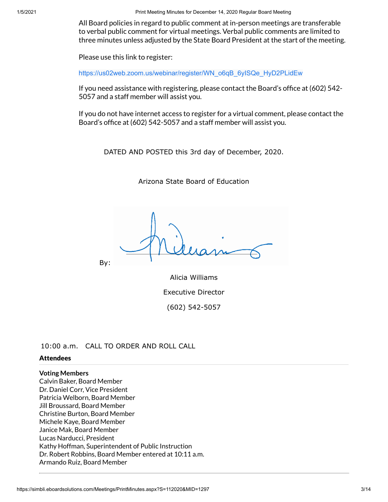1/5/2021 Print Meeting Minutes for December 14, 2020 Regular Board Meeting

All Board policies in regard to public comment at in-person meetings are transferable to verbal public comment for virtual meetings. Verbal public comments are limited to three minutes unless adjusted by the State Board President at the start of the meeting.

Please use this link to register:

[https://us02web.zoom.us/webinar/register/WN\\_o6qB\\_6yISQe\\_HyD2PLidEw](https://us02web.zoom.us/webinar/register/WN_o6qB_6yISQe_HyD2PLidEw)

If you need assistance with registering, please contact the Board's office at  $(602)$  542-5057 and a staff member will assist you.

If you do not have internet access to register for a virtual comment, please contact the Board's office at (602) 542-5057 and a staff member will assist you.

DATED AND POSTED this 3rd day of December, 2020.

Arizona State Board of Education

By:

Alicia Williams Executive Director (602) 542-5057

10:00 a.m. CALL TO ORDER AND ROLL CALL

### **Attendees**

# **Voting Members**

Calvin Baker, Board Member Dr. Daniel Corr, Vice President Patricia Welborn, Board Member Jill Broussard, Board Member Christine Burton, Board Member Michele Kaye, Board Member Janice Mak, Board Member Lucas Narducci, President Kathy Hoffman, Superintendent of Public Instruction Dr. Robert Robbins, Board Member entered at 10:11 a.m. Armando Ruiz, Board Member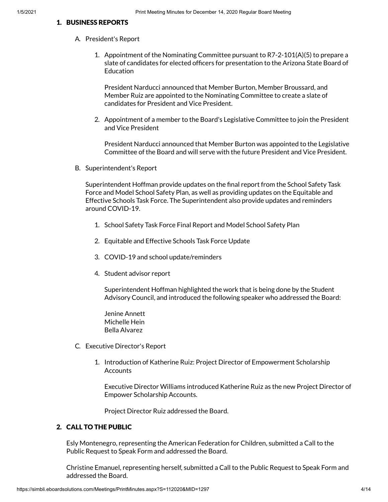### 1. BUSINESS REPORTS

- A. President's Report
	- 1. Appointment of the Nominating Committee pursuant to R7-2-101(A)(5) to prepare a slate of candidates for elected officers for presentation to the Arizona State Board of **Education**

President Narducci announced that Member Burton, Member Broussard, and Member Ruiz are appointed to the Nominating Committee to create a slate of candidates for President and Vice President.

2. Appointment of a member to the Board's Legislative Committee to join the President and Vice President

President Narducci announced that Member Burton was appointed to the Legislative Committee of the Board and will serve with the future President and Vice President.

B. Superintendent's Report

Superintendent Hoffman provide updates on the final report from the School Safety Task Force and Model School Safety Plan, as well as providing updates on the Equitable and Effective Schools Task Force. The Superintendent also provide updates and reminders around COVID-19.

- 1. School Safety Task Force Final Report and Model School Safety Plan
- 2. Equitable and Effective Schools Task Force Update
- 3. COVID-19 and school update/reminders
- 4. Student advisor report

Superintendent Hoffman highlighted the work that is being done by the Student Advisory Council, and introduced the following speaker who addressed the Board:

Jenine Annett Michelle Hein Bella Alvarez

- C. Executive Director's Report
	- 1. Introduction of Katherine Ruiz: Project Director of Empowerment Scholarship **Accounts**

Executive Director Williams introduced Katherine Ruiz as the new Project Director of Empower Scholarship Accounts.

Project Director Ruiz addressed the Board.

## 2. CALL TO THE PUBLIC

Esly Montenegro, representing the American Federation for Children, submitted a Call to the Public Request to Speak Form and addressed the Board.

Christine Emanuel, representing herself, submitted a Call to the Public Request to Speak Form and addressed the Board.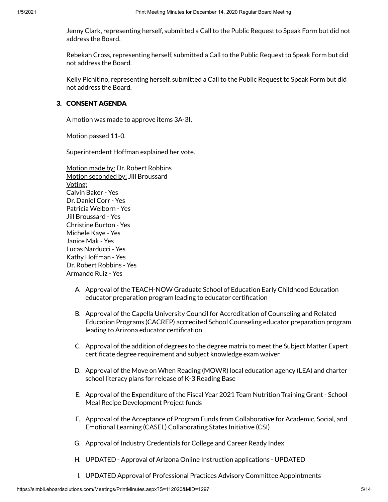Jenny Clark, representing herself, submitted a Call to the Public Request to Speak Form but did not address the Board.

Rebekah Cross, representing herself, submitted a Call to the Public Request to Speak Form but did not address the Board.

Kelly Pichitino, representing herself, submitted a Call to the Public Request to Speak Form but did not address the Board.

### 3. CONSENT AGENDA

A motion was made to approve items 3A-3I.

Motion passed 11-0.

Superintendent Hoffman explained her vote.

Motion made by: Dr. Robert Robbins Motion seconded by: Jill Broussard Voting: Calvin Baker - Yes Dr. Daniel Corr - Yes Patricia Welborn - Yes Jill Broussard - Yes Christine Burton - Yes Michele Kaye - Yes Janice Mak - Yes Lucas Narducci - Yes Kathy Hoffman - Yes Dr. Robert Robbins - Yes Armando Ruiz - Yes

- A. Approval of the TEACH-NOW Graduate School of Education Early Childhood Education educator preparation program leading to educator certification
- B. Approval of the Capella University Council for Accreditation of Counseling and Related Education Programs (CACREP) accredited School Counseling educator preparation program leading to Arizona educator certification
- C. Approval of the addition of degrees to the degree matrix to meet the Subject Matter Expert certificate degree requirement and subject knowledge exam waiver
- D. Approval of the Move on When Reading (MOWR) local education agency (LEA) and charter school literacy plans for release of K-3 Reading Base
- E. Approval of the Expenditure of the Fiscal Year 2021 Team Nutrition Training Grant School Meal Recipe Development Project funds
- F. Approval of the Acceptance of Program Funds from Collaborative for Academic, Social, and Emotional Learning (CASEL) Collaborating States Initiative (CSI)
- G. Approval of Industry Credentials for College and Career Ready Index
- H. UPDATED Approval of Arizona Online Instruction applications UPDATED
- I. UPDATED Approval of Professional Practices Advisory Committee Appointments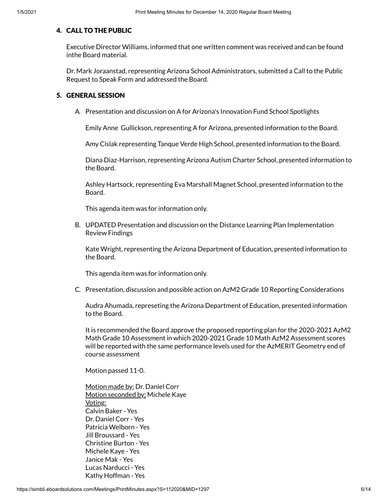### 4. CALL TO THE PUBLIC

Executive Director Williams, informed that one written comment was received and can be found inthe Board material.

Dr. Mark Joraanstad, representing Arizona School Administrators, submitted a Call to the Public Request to Speak Form and addressed the Board.

#### 5. GENERAL SESSION

A. Presentation and discussion on A for Arizona's Innovation Fund School Spotlights

Emily Anne Gullickson, representing A for Arizona, presented information to the Board.

Amy Cislak representing Tanque Verde High School, presented information to the Board.

Diana Diaz-Harrison, representing Arizona Autism Charter School, presented information to the Board.

Ashley Hartsock, representing Eva Marshall Magnet School, presented information to the Board.

This agenda item was for information only.

B. UPDATED Presentation and discussion on the Distance Learning Plan Implementation Review Findings

Kate Wright, representing the Arizona Department of Education, presented information to the Board.

This agenda item was for information only.

C. Presentation, discussion and possible action on AzM2 Grade 10 Reporting Considerations

Audra Ahumada, represeting the Arizona Department of Education, presented information to the Board.

It is recommended the Board approve the proposed reporting plan for the 2020-2021 AzM2 Math Grade 10 Assessment in which 2020-2021 Grade 10 Math AzM2 Assessment scores will be reported with the same performance levels used for the AzMERIT Geometry end of course assessment

Motion passed 11-0.

Motion made by: Dr. Daniel Corr Motion seconded by: Michele Kaye Voting: Calvin Baker - Yes Dr. Daniel Corr - Yes Patricia Welborn - Yes Jill Broussard - Yes Christine Burton - Yes Michele Kaye - Yes Janice Mak - Yes Lucas Narducci - Yes Kathy Hoffman - Yes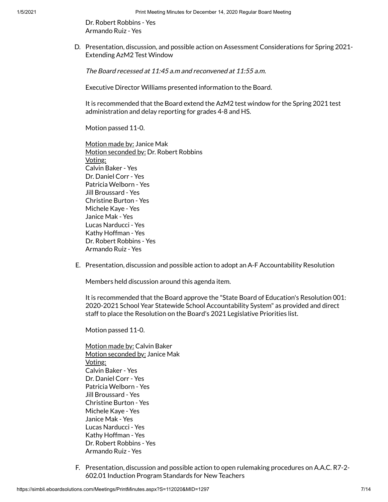Dr. Robert Robbins - Yes Armando Ruiz - Yes

D. Presentation, discussion, and possible action on Assessment Considerations for Spring 2021- Extending AzM2 Test Window

The Board recessed at 11:45 a.m and reconvened at 11:55 a.m.

Executive Director Williams presented information to the Board.

It is recommended that the Board extend the AzM2 test window for the Spring 2021 test administration and delay reporting for grades 4-8 and HS.

Motion passed 11-0.

Motion made by: Janice Mak Motion seconded by: Dr. Robert Robbins Voting: Calvin Baker - Yes Dr. Daniel Corr - Yes Patricia Welborn - Yes Jill Broussard - Yes Christine Burton - Yes Michele Kaye - Yes Janice Mak - Yes Lucas Narducci - Yes Kathy Hoffman - Yes Dr. Robert Robbins - Yes Armando Ruiz - Yes

E. Presentation, discussion and possible action to adopt an A-F Accountability Resolution

Members held discussion around this agenda item.

It is recommended that the Board approve the "State Board of Education's Resolution 001: 2020-2021 School Year Statewide School Accountability System" as provided and direct staff to place the Resolution on the Board's 2021 Legislative Priorities list.

Motion passed 11-0.

Motion made by: Calvin Baker Motion seconded by: Janice Mak Voting: Calvin Baker - Yes Dr. Daniel Corr - Yes Patricia Welborn - Yes Jill Broussard - Yes Christine Burton - Yes Michele Kaye - Yes Janice Mak - Yes Lucas Narducci - Yes Kathy Hoffman - Yes Dr. Robert Robbins - Yes Armando Ruiz - Yes

F. Presentation, discussion and possible action to open rulemaking procedures on A.A.C. R7-2- 602.01 Induction Program Standards for New Teachers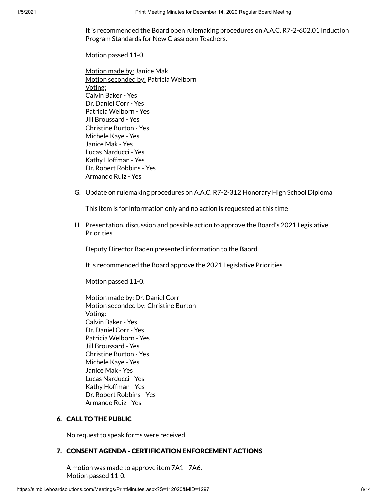It is recommended the Board open rulemaking procedures on A.A.C. R7-2-602.01 Induction Program Standards for New Classroom Teachers.

Motion passed 11-0.

Motion made by: Janice Mak Motion seconded by: Patricia Welborn Voting: Calvin Baker - Yes Dr. Daniel Corr - Yes Patricia Welborn - Yes Jill Broussard - Yes Christine Burton - Yes Michele Kaye - Yes Janice Mak - Yes Lucas Narducci - Yes Kathy Hoffman - Yes Dr. Robert Robbins - Yes Armando Ruiz - Yes

G. Update on rulemaking procedures on A.A.C. R7-2-312 Honorary High School Diploma

This item is for information only and no action is requested at this time

H. Presentation, discussion and possible action to approve the Board's 2021 Legislative **Priorities** 

Deputy Director Baden presented information to the Baord.

It is recommended the Board approve the 2021 Legislative Priorities

Motion passed 11-0.

Motion made by: Dr. Daniel Corr Motion seconded by: Christine Burton Voting: Calvin Baker - Yes Dr. Daniel Corr - Yes Patricia Welborn - Yes Jill Broussard - Yes Christine Burton - Yes Michele Kaye - Yes Janice Mak - Yes Lucas Narducci - Yes Kathy Hoffman - Yes Dr. Robert Robbins - Yes Armando Ruiz - Yes

### 6. CALL TO THE PUBLIC

No request to speak forms were received.

### 7. CONSENT AGENDA - CERTIFICATION ENFORCEMENT ACTIONS

A motion was made to approve item 7A1 - 7A6. Motion passed 11-0.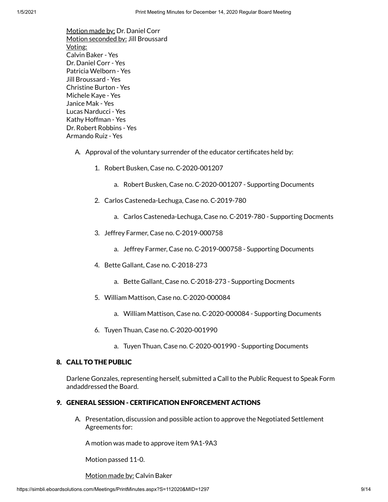Motion made by: Dr. Daniel Corr Motion seconded by: Jill Broussard Voting: Calvin Baker - Yes Dr. Daniel Corr - Yes Patricia Welborn - Yes Jill Broussard - Yes Christine Burton - Yes Michele Kaye - Yes Janice Mak - Yes Lucas Narducci - Yes Kathy Hoffman - Yes Dr. Robert Robbins - Yes Armando Ruiz - Yes

- A. Approval of the voluntary surrender of the educator certificates held by:
	- 1. Robert Busken, Case no. C-2020-001207
		- a. Robert Busken, Case no. C-2020-001207 Supporting Documents
	- 2. Carlos Casteneda-Lechuga, Case no. C-2019-780
		- a. Carlos Casteneda-Lechuga, Case no. C-2019-780 Supporting Docments
	- 3. Jeffrey Farmer, Case no. C-2019-000758
		- a. Jeffrey Farmer, Case no. C-2019-000758 Supporting Documents
	- 4. Bette Gallant, Case no. C-2018-273
		- a. Bette Gallant, Case no. C-2018-273 Supporting Docments
	- 5. William Mattison, Case no. C-2020-000084
		- a. William Mattison, Case no. C-2020-000084 Supporting Documents
	- 6. Tuyen Thuan, Case no. C-2020-001990
		- a. Tuyen Thuan, Case no. C-2020-001990 Supporting Documents

#### 8. CALL TO THE PUBLIC

Darlene Gonzales, representing herself, submitted a Call to the Public Request to Speak Form andaddressed the Board.

#### 9. GENERAL SESSION - CERTIFICATION ENFORCEMENT ACTIONS

A. Presentation, discussion and possible action to approve the Negotiated Settlement Agreements for:

A motion was made to approve item 9A1-9A3

Motion passed 11-0.

Motion made by: Calvin Baker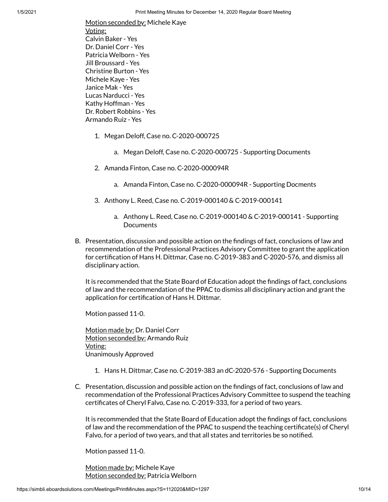Motion seconded by: Michele Kaye Voting: Calvin Baker - Yes Dr. Daniel Corr - Yes Patricia Welborn - Yes Jill Broussard - Yes Christine Burton - Yes Michele Kaye - Yes Janice Mak - Yes Lucas Narducci - Yes Kathy Hoffman - Yes Dr. Robert Robbins - Yes Armando Ruiz - Yes

- 1. Megan Deloff, Case no. C-2020-000725
	- a. Megan Deloff, Case no. C-2020-000725 Supporting Documents
- 2. Amanda Finton, Case no. C-2020-000094R
	- a. Amanda Finton, Case no. C-2020-000094R Supporting Docments
- 3. Anthony L. Reed, Case no. C-2019-000140 & C-2019-000141
	- a. Anthony L. Reed, Case no. C-2019-000140 & C-2019-000141 Supporting **Documents**
- B. Presentation, discussion and possible action on the findings of fact, conclusions of law and recommendation of the Professional Practices Advisory Committee to grant the application for certification of Hans H. Dittmar, Case no. C-2019-383 and C-2020-576, and dismiss all disciplinary action.

It is recommended that the State Board of Education adopt the findings of fact, conclusions of law and the recommendation of the PPAC to dismiss all disciplinary action and grant the application for certification of Hans H. Dittmar.

Motion passed 11-0.

Motion made by: Dr. Daniel Corr Motion seconded by: Armando Ruiz Voting: Unanimously Approved

- 1. Hans H. Dittmar, Case no. C-2019-383 an dC-2020-576 Supporting Documents
- C. Presentation, discussion and possible action on the findings of fact, conclusions of law and recommendation of the Professional Practices Advisory Committee to suspend the teaching certificates of Cheryl Falvo, Case no. C-2019-333, for a period of two years.

It is recommended that the State Board of Education adopt the findings of fact, conclusions of law and the recommendation of the PPAC to suspend the teaching certificate(s) of Cheryl Falvo, for a period of two years, and that all states and territories be so notified.

Motion passed 11-0.

Motion made by: Michele Kaye Motion seconded by: Patricia Welborn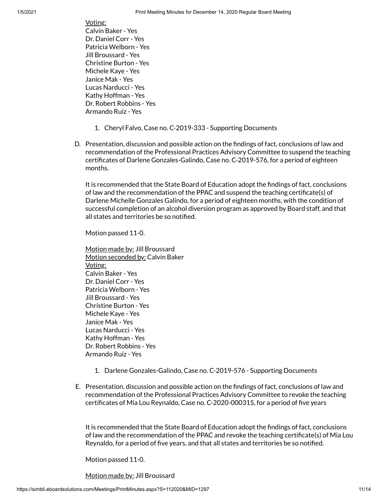Voting: Calvin Baker - Yes Dr. Daniel Corr - Yes Patricia Welborn - Yes Jill Broussard - Yes Christine Burton - Yes Michele Kaye - Yes Janice Mak - Yes Lucas Narducci - Yes Kathy Hoffman - Yes Dr. Robert Robbins - Yes Armando Ruiz - Yes

- 1. Cheryl Falvo, Case no. C-2019-333 Supporting Documents
- D. Presentation, discussion and possible action on the findings of fact, conclusions of law and recommendation of the Professional Practices Advisory Committee to suspend the teaching certificates of Darlene Gonzales-Galindo, Case no. C-2019-576, for a period of eighteen months.

It is recommended that the State Board of Education adopt the findings of fact, conclusions of law and the recommendation of the PPAC and suspend the teaching certificate(s) of Darlene Michelle Gonzales Galindo, for a period of eighteen months, with the condition of successful completion of an alcohol diversion program as approved by Board staff, and that all states and territories be so notified.

Motion passed 11-0.

Motion made by: Jill Broussard Motion seconded by: Calvin Baker Voting: Calvin Baker - Yes Dr. Daniel Corr - Yes Patricia Welborn - Yes Jill Broussard - Yes Christine Burton - Yes Michele Kaye - Yes Janice Mak - Yes Lucas Narducci - Yes Kathy Hoffman - Yes Dr. Robert Robbins - Yes Armando Ruiz - Yes

- 1. Darlene Gonzales-Galindo, Case no. C-2019-576 Supporting Documents
- E. Presentation, discussion and possible action on the findings of fact, conclusions of law and recommendation of the Professional Practices Advisory Committee to revoke the teaching certificates of Mia Lou Reynaldo, Case no. C-2020-000315, for a period of five years

It is recommended that the State Board of Education adopt the findings of fact, conclusions of law and the recommendation of the PPAC and revoke the teaching certificate(s) of Mia Lou Reynaldo, for a period of five years, and that all states and territories be so notified.

Motion passed 11-0.

Motion made by: Jill Broussard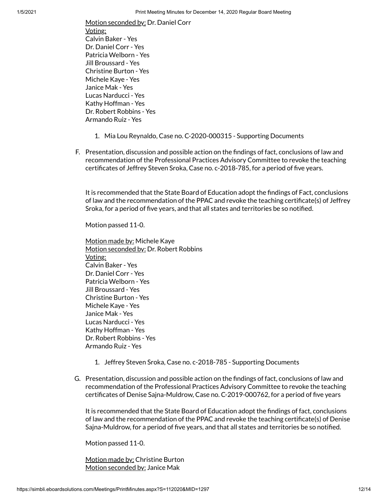Motion seconded by: Dr. Daniel Corr Voting: Calvin Baker - Yes Dr. Daniel Corr - Yes Patricia Welborn - Yes Jill Broussard - Yes Christine Burton - Yes Michele Kaye - Yes Janice Mak - Yes Lucas Narducci - Yes Kathy Hoffman - Yes Dr. Robert Robbins - Yes Armando Ruiz - Yes

- 1. Mia Lou Reynaldo, Case no. C-2020-000315 Supporting Documents
- F. Presentation, discussion and possible action on the ndings of fact, conclusions of law and recommendation of the Professional Practices Advisory Committee to revoke the teaching certificates of Jeffrey Steven Sroka, Case no. c-2018-785, for a period of five years.

It is recommended that the State Board of Education adopt the findings of Fact, conclusions of law and the recommendation of the PPAC and revoke the teaching certificate(s) of Jeffrey Sroka, for a period of five years, and that all states and territories be so notified.

Motion passed 11-0.

Motion made by: Michele Kaye Motion seconded by: Dr. Robert Robbins Voting: Calvin Baker - Yes Dr. Daniel Corr - Yes Patricia Welborn - Yes Jill Broussard - Yes Christine Burton - Yes Michele Kaye - Yes Janice Mak - Yes Lucas Narducci - Yes Kathy Hoffman - Yes Dr. Robert Robbins - Yes Armando Ruiz - Yes

- 1. Jeffrey Steven Sroka, Case no. c-2018-785 Supporting Documents
- G. Presentation, discussion and possible action on the findings of fact, conclusions of law and recommendation of the Professional Practices Advisory Committee to revoke the teaching certificates of Denise Sajna-Muldrow, Case no. C-2019-000762, for a period of five years

It is recommended that the State Board of Education adopt the findings of fact, conclusions of law and the recommendation of the PPAC and revoke the teaching certificate(s) of Denise Sajna-Muldrow, for a period of five years, and that all states and territories be so notified.

Motion passed 11-0.

Motion made by: Christine Burton Motion seconded by: Janice Mak